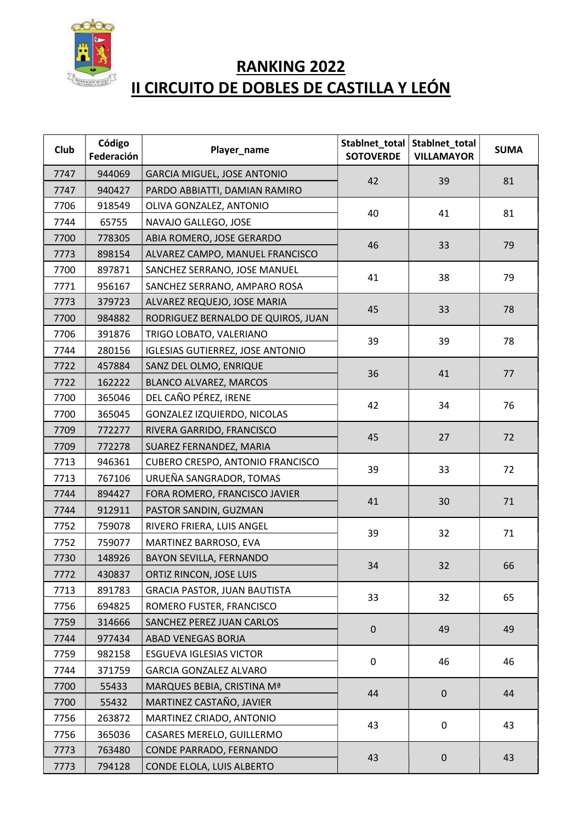

## RANKING 2022 II CIRCUITO DE DOBLES DE CASTILLA Y LEÓN

| <b>Club</b> | Código<br>Federación | Player_name                             | Stablnet_total<br><b>SOTOVERDE</b> | Stablnet_total<br><b>VILLAMAYOR</b> | <b>SUMA</b> |
|-------------|----------------------|-----------------------------------------|------------------------------------|-------------------------------------|-------------|
| 7747        | 944069               | <b>GARCIA MIGUEL, JOSE ANTONIO</b>      | 42                                 | 39                                  | 81          |
| 7747        | 940427               | PARDO ABBIATTI, DAMIAN RAMIRO           |                                    |                                     |             |
| 7706        | 918549               | OLIVA GONZALEZ, ANTONIO                 | 40                                 | 41                                  | 81          |
| 7744        | 65755                | NAVAJO GALLEGO, JOSE                    |                                    |                                     |             |
| 7700        | 778305               | ABIA ROMERO, JOSE GERARDO               | 46                                 | 33                                  | 79          |
| 7773        | 898154               | ALVAREZ CAMPO, MANUEL FRANCISCO         |                                    |                                     |             |
| 7700        | 897871               | SANCHEZ SERRANO, JOSE MANUEL            | 41                                 | 38                                  | 79          |
| 7771        | 956167               | SANCHEZ SERRANO, AMPARO ROSA            |                                    |                                     |             |
| 7773        | 379723               | ALVAREZ REQUEJO, JOSE MARIA             | 45                                 | 33                                  | 78          |
| 7700        | 984882               | RODRIGUEZ BERNALDO DE QUIROS, JUAN      |                                    |                                     |             |
| 7706        | 391876               | TRIGO LOBATO, VALERIANO                 | 39                                 | 39                                  | 78          |
| 7744        | 280156               | <b>IGLESIAS GUTIERREZ, JOSE ANTONIO</b> |                                    |                                     |             |
| 7722        | 457884               | SANZ DEL OLMO, ENRIQUE                  | 36                                 | 41                                  | 77          |
| 7722        | 162222               | <b>BLANCO ALVAREZ, MARCOS</b>           |                                    |                                     |             |
| 7700        | 365046               | DEL CAÑO PÉREZ, IRENE                   | 42                                 | 34                                  | 76          |
| 7700        | 365045               | <b>GONZALEZ IZQUIERDO, NICOLAS</b>      |                                    |                                     |             |
| 7709        | 772277               | RIVERA GARRIDO, FRANCISCO               | 45                                 | 27                                  | 72          |
| 7709        | 772278               | SUAREZ FERNANDEZ, MARIA                 |                                    |                                     |             |
| 7713        | 946361               | CUBERO CRESPO, ANTONIO FRANCISCO        | 39                                 | 33                                  | 72          |
| 7713        | 767106               | URUEÑA SANGRADOR, TOMAS                 |                                    |                                     |             |
| 7744        | 894427               | FORA ROMERO, FRANCISCO JAVIER           | 41                                 | 30                                  | 71          |
| 7744        | 912911               | PASTOR SANDIN, GUZMAN                   |                                    |                                     |             |
| 7752        | 759078               | RIVERO FRIERA, LUIS ANGEL               | 39                                 | 32                                  | 71          |
| 7752        | 759077               | MARTINEZ BARROSO, EVA                   |                                    |                                     |             |
| 7730        | 148926               | BAYON SEVILLA, FERNANDO                 | 34                                 | 32                                  | 66          |
| 7772        | 430837               | ORTIZ RINCON, JOSE LUIS                 |                                    |                                     |             |
| 7713        | 891783               | <b>GRACIA PASTOR, JUAN BAUTISTA</b>     | 33                                 | 32                                  | 65          |
| 7756        | 694825               | ROMERO FUSTER, FRANCISCO                |                                    |                                     |             |
| 7759        | 314666               | SANCHEZ PEREZ JUAN CARLOS               | $\mathbf 0$                        | 49                                  | 49          |
| 7744        | 977434               | ABAD VENEGAS BORJA                      |                                    |                                     |             |
| 7759        | 982158               | <b>ESGUEVA IGLESIAS VICTOR</b>          | $\pmb{0}$                          | 46                                  | 46          |
| 7744        | 371759               | <b>GARCIA GONZALEZ ALVARO</b>           |                                    |                                     |             |
| 7700        | 55433                | MARQUES BEBIA, CRISTINA Mª              | 44                                 | $\pmb{0}$                           | 44          |
| 7700        | 55432                | MARTINEZ CASTAÑO, JAVIER                |                                    |                                     |             |
| 7756        | 263872               | MARTINEZ CRIADO, ANTONIO                | 43                                 | $\mathbf 0$                         | 43          |
| 7756        | 365036               | CASARES MERELO, GUILLERMO               |                                    |                                     |             |
| 7773        | 763480               | CONDE PARRADO, FERNANDO                 | 43                                 | $\pmb{0}$                           | 43          |
| 7773        | 794128               | CONDE ELOLA, LUIS ALBERTO               |                                    |                                     |             |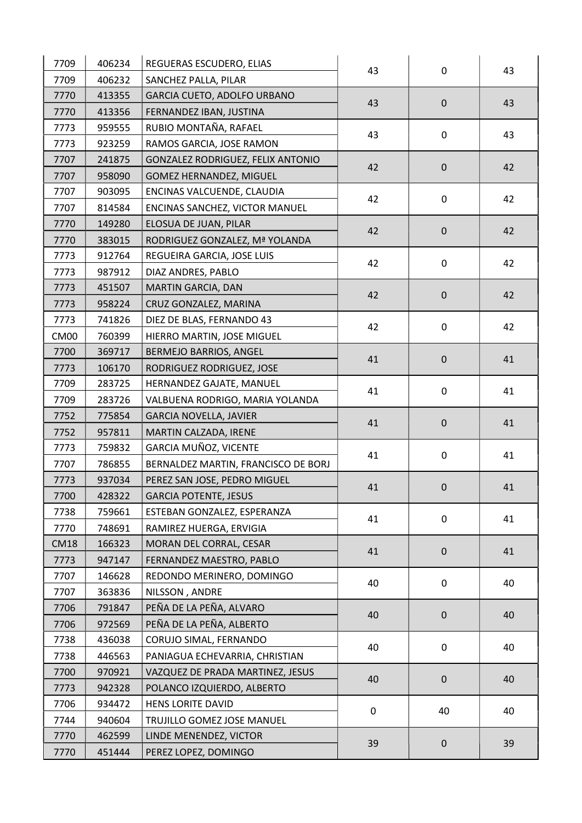| SANCHEZ PALLA, PILAR<br>7709<br>406232<br>GARCIA CUETO, ADOLFO URBANO<br>7770<br>413355<br>43<br>$\mathbf 0$<br>43<br>FERNANDEZ IBAN, JUSTINA<br>7770<br>413356<br>RUBIO MONTAÑA, RAFAEL<br>7773<br>959555<br>43<br>$\mathbf 0$<br>43<br>RAMOS GARCIA, JOSE RAMON<br>7773<br>923259<br>7707<br>241875<br>GONZALEZ RODRIGUEZ, FELIX ANTONIO<br>42<br>$\pmb{0}$<br>42<br>7707<br>958090<br><b>GOMEZ HERNANDEZ, MIGUEL</b><br>7707<br>903095<br>ENCINAS VALCUENDE, CLAUDIA<br>42<br>$\mathbf 0$<br>42<br>7707<br>814584<br>ENCINAS SANCHEZ, VICTOR MANUEL<br>7770<br>149280<br>ELOSUA DE JUAN, PILAR<br>42<br>$\pmb{0}$<br>42<br>RODRIGUEZ GONZALEZ, Mª YOLANDA<br>7770<br>383015<br>REGUEIRA GARCIA, JOSE LUIS<br>7773<br>912764<br>42<br>$\mathbf 0$<br>42<br>7773<br>987912<br>DIAZ ANDRES, PABLO<br>MARTIN GARCIA, DAN<br>7773<br>451507<br>42<br>$\mathbf 0$<br>42<br>CRUZ GONZALEZ, MARINA<br>958224<br>7773<br>741826<br>7773<br>DIEZ DE BLAS, FERNANDO 43<br>42<br>$\mathbf 0$<br>42<br><b>CM00</b><br>760399<br>HIERRO MARTIN, JOSE MIGUEL<br>7700<br>369717<br>BERMEJO BARRIOS, ANGEL<br>41<br>$\mathbf 0$<br>41<br>106170<br>RODRIGUEZ RODRIGUEZ, JOSE<br>7773<br>7709<br>283725<br>HERNANDEZ GAJATE, MANUEL<br>41<br>$\boldsymbol{0}$<br>41<br>283726<br>VALBUENA RODRIGO, MARIA YOLANDA<br>7709<br>7752<br>775854<br><b>GARCIA NOVELLA, JAVIER</b><br>41<br>$\mathbf 0$<br>41<br>MARTIN CALZADA, IRENE<br>7752<br>957811<br>GARCIA MUÑOZ, VICENTE<br>759832<br>7773<br>41<br>$\mathsf{O}\xspace$<br>41<br>BERNALDEZ MARTIN, FRANCISCO DE BORJ<br>7707<br>786855<br>937034<br>PEREZ SAN JOSE, PEDRO MIGUEL<br>7773<br>41<br>$\pmb{0}$<br>41<br>7700<br>428322<br><b>GARCIA POTENTE, JESUS</b><br>759661<br>7738<br>ESTEBAN GONZALEZ, ESPERANZA<br>41<br>$\mathbf 0$<br>41<br>7770<br>748691<br>RAMIREZ HUERGA, ERVIGIA<br><b>CM18</b><br>166323<br>MORAN DEL CORRAL, CESAR<br>41<br>$\mathbf 0$<br>41<br>947147<br>FERNANDEZ MAESTRO, PABLO<br>7773<br>7707<br>REDONDO MERINERO, DOMINGO<br>146628<br>$\mathbf 0$<br>40<br>40<br>7707<br>363836<br>NILSSON, ANDRE<br>PEÑA DE LA PEÑA, ALVARO<br>7706<br>791847<br>40<br>$\pmb{0}$<br>40<br>PEÑA DE LA PEÑA, ALBERTO<br>972569<br>7706<br>436038<br>CORUJO SIMAL, FERNANDO<br>7738<br>40<br>$\mathbf 0$<br>40<br>7738<br>446563<br>PANIAGUA ECHEVARRIA, CHRISTIAN<br>VAZQUEZ DE PRADA MARTINEZ, JESUS<br>7700<br>970921<br>40<br>$\pmb{0}$<br>40<br>942328<br>7773<br>POLANCO IZQUIERDO, ALBERTO<br>HENS LORITE DAVID<br>7706<br>934472<br>$\mathbf 0$<br>40<br>40<br>940604<br>TRUJILLO GOMEZ JOSE MANUEL<br>7744<br>462599<br>7770<br>LINDE MENENDEZ, VICTOR<br>39<br>39<br>$\mathbf 0$<br>7770<br>451444<br>PEREZ LOPEZ, DOMINGO | 7709 | 406234 | REGUERAS ESCUDERO, ELIAS | 43 | $\mathbf 0$ | 43 |
|---------------------------------------------------------------------------------------------------------------------------------------------------------------------------------------------------------------------------------------------------------------------------------------------------------------------------------------------------------------------------------------------------------------------------------------------------------------------------------------------------------------------------------------------------------------------------------------------------------------------------------------------------------------------------------------------------------------------------------------------------------------------------------------------------------------------------------------------------------------------------------------------------------------------------------------------------------------------------------------------------------------------------------------------------------------------------------------------------------------------------------------------------------------------------------------------------------------------------------------------------------------------------------------------------------------------------------------------------------------------------------------------------------------------------------------------------------------------------------------------------------------------------------------------------------------------------------------------------------------------------------------------------------------------------------------------------------------------------------------------------------------------------------------------------------------------------------------------------------------------------------------------------------------------------------------------------------------------------------------------------------------------------------------------------------------------------------------------------------------------------------------------------------------------------------------------------------------------------------------------------------------------------------------------------------------------------------------------------------------------------------------------------------------------------------------------------------------------------------------------------------------------------------------------------------------------------------------------------------------------------------------------------------------------------------------------|------|--------|--------------------------|----|-------------|----|
|                                                                                                                                                                                                                                                                                                                                                                                                                                                                                                                                                                                                                                                                                                                                                                                                                                                                                                                                                                                                                                                                                                                                                                                                                                                                                                                                                                                                                                                                                                                                                                                                                                                                                                                                                                                                                                                                                                                                                                                                                                                                                                                                                                                                                                                                                                                                                                                                                                                                                                                                                                                                                                                                                             |      |        |                          |    |             |    |
|                                                                                                                                                                                                                                                                                                                                                                                                                                                                                                                                                                                                                                                                                                                                                                                                                                                                                                                                                                                                                                                                                                                                                                                                                                                                                                                                                                                                                                                                                                                                                                                                                                                                                                                                                                                                                                                                                                                                                                                                                                                                                                                                                                                                                                                                                                                                                                                                                                                                                                                                                                                                                                                                                             |      |        |                          |    |             |    |
|                                                                                                                                                                                                                                                                                                                                                                                                                                                                                                                                                                                                                                                                                                                                                                                                                                                                                                                                                                                                                                                                                                                                                                                                                                                                                                                                                                                                                                                                                                                                                                                                                                                                                                                                                                                                                                                                                                                                                                                                                                                                                                                                                                                                                                                                                                                                                                                                                                                                                                                                                                                                                                                                                             |      |        |                          |    |             |    |
|                                                                                                                                                                                                                                                                                                                                                                                                                                                                                                                                                                                                                                                                                                                                                                                                                                                                                                                                                                                                                                                                                                                                                                                                                                                                                                                                                                                                                                                                                                                                                                                                                                                                                                                                                                                                                                                                                                                                                                                                                                                                                                                                                                                                                                                                                                                                                                                                                                                                                                                                                                                                                                                                                             |      |        |                          |    |             |    |
|                                                                                                                                                                                                                                                                                                                                                                                                                                                                                                                                                                                                                                                                                                                                                                                                                                                                                                                                                                                                                                                                                                                                                                                                                                                                                                                                                                                                                                                                                                                                                                                                                                                                                                                                                                                                                                                                                                                                                                                                                                                                                                                                                                                                                                                                                                                                                                                                                                                                                                                                                                                                                                                                                             |      |        |                          |    |             |    |
|                                                                                                                                                                                                                                                                                                                                                                                                                                                                                                                                                                                                                                                                                                                                                                                                                                                                                                                                                                                                                                                                                                                                                                                                                                                                                                                                                                                                                                                                                                                                                                                                                                                                                                                                                                                                                                                                                                                                                                                                                                                                                                                                                                                                                                                                                                                                                                                                                                                                                                                                                                                                                                                                                             |      |        |                          |    |             |    |
|                                                                                                                                                                                                                                                                                                                                                                                                                                                                                                                                                                                                                                                                                                                                                                                                                                                                                                                                                                                                                                                                                                                                                                                                                                                                                                                                                                                                                                                                                                                                                                                                                                                                                                                                                                                                                                                                                                                                                                                                                                                                                                                                                                                                                                                                                                                                                                                                                                                                                                                                                                                                                                                                                             |      |        |                          |    |             |    |
|                                                                                                                                                                                                                                                                                                                                                                                                                                                                                                                                                                                                                                                                                                                                                                                                                                                                                                                                                                                                                                                                                                                                                                                                                                                                                                                                                                                                                                                                                                                                                                                                                                                                                                                                                                                                                                                                                                                                                                                                                                                                                                                                                                                                                                                                                                                                                                                                                                                                                                                                                                                                                                                                                             |      |        |                          |    |             |    |
|                                                                                                                                                                                                                                                                                                                                                                                                                                                                                                                                                                                                                                                                                                                                                                                                                                                                                                                                                                                                                                                                                                                                                                                                                                                                                                                                                                                                                                                                                                                                                                                                                                                                                                                                                                                                                                                                                                                                                                                                                                                                                                                                                                                                                                                                                                                                                                                                                                                                                                                                                                                                                                                                                             |      |        |                          |    |             |    |
|                                                                                                                                                                                                                                                                                                                                                                                                                                                                                                                                                                                                                                                                                                                                                                                                                                                                                                                                                                                                                                                                                                                                                                                                                                                                                                                                                                                                                                                                                                                                                                                                                                                                                                                                                                                                                                                                                                                                                                                                                                                                                                                                                                                                                                                                                                                                                                                                                                                                                                                                                                                                                                                                                             |      |        |                          |    |             |    |
|                                                                                                                                                                                                                                                                                                                                                                                                                                                                                                                                                                                                                                                                                                                                                                                                                                                                                                                                                                                                                                                                                                                                                                                                                                                                                                                                                                                                                                                                                                                                                                                                                                                                                                                                                                                                                                                                                                                                                                                                                                                                                                                                                                                                                                                                                                                                                                                                                                                                                                                                                                                                                                                                                             |      |        |                          |    |             |    |
|                                                                                                                                                                                                                                                                                                                                                                                                                                                                                                                                                                                                                                                                                                                                                                                                                                                                                                                                                                                                                                                                                                                                                                                                                                                                                                                                                                                                                                                                                                                                                                                                                                                                                                                                                                                                                                                                                                                                                                                                                                                                                                                                                                                                                                                                                                                                                                                                                                                                                                                                                                                                                                                                                             |      |        |                          |    |             |    |
|                                                                                                                                                                                                                                                                                                                                                                                                                                                                                                                                                                                                                                                                                                                                                                                                                                                                                                                                                                                                                                                                                                                                                                                                                                                                                                                                                                                                                                                                                                                                                                                                                                                                                                                                                                                                                                                                                                                                                                                                                                                                                                                                                                                                                                                                                                                                                                                                                                                                                                                                                                                                                                                                                             |      |        |                          |    |             |    |
|                                                                                                                                                                                                                                                                                                                                                                                                                                                                                                                                                                                                                                                                                                                                                                                                                                                                                                                                                                                                                                                                                                                                                                                                                                                                                                                                                                                                                                                                                                                                                                                                                                                                                                                                                                                                                                                                                                                                                                                                                                                                                                                                                                                                                                                                                                                                                                                                                                                                                                                                                                                                                                                                                             |      |        |                          |    |             |    |
|                                                                                                                                                                                                                                                                                                                                                                                                                                                                                                                                                                                                                                                                                                                                                                                                                                                                                                                                                                                                                                                                                                                                                                                                                                                                                                                                                                                                                                                                                                                                                                                                                                                                                                                                                                                                                                                                                                                                                                                                                                                                                                                                                                                                                                                                                                                                                                                                                                                                                                                                                                                                                                                                                             |      |        |                          |    |             |    |
|                                                                                                                                                                                                                                                                                                                                                                                                                                                                                                                                                                                                                                                                                                                                                                                                                                                                                                                                                                                                                                                                                                                                                                                                                                                                                                                                                                                                                                                                                                                                                                                                                                                                                                                                                                                                                                                                                                                                                                                                                                                                                                                                                                                                                                                                                                                                                                                                                                                                                                                                                                                                                                                                                             |      |        |                          |    |             |    |
|                                                                                                                                                                                                                                                                                                                                                                                                                                                                                                                                                                                                                                                                                                                                                                                                                                                                                                                                                                                                                                                                                                                                                                                                                                                                                                                                                                                                                                                                                                                                                                                                                                                                                                                                                                                                                                                                                                                                                                                                                                                                                                                                                                                                                                                                                                                                                                                                                                                                                                                                                                                                                                                                                             |      |        |                          |    |             |    |
|                                                                                                                                                                                                                                                                                                                                                                                                                                                                                                                                                                                                                                                                                                                                                                                                                                                                                                                                                                                                                                                                                                                                                                                                                                                                                                                                                                                                                                                                                                                                                                                                                                                                                                                                                                                                                                                                                                                                                                                                                                                                                                                                                                                                                                                                                                                                                                                                                                                                                                                                                                                                                                                                                             |      |        |                          |    |             |    |
|                                                                                                                                                                                                                                                                                                                                                                                                                                                                                                                                                                                                                                                                                                                                                                                                                                                                                                                                                                                                                                                                                                                                                                                                                                                                                                                                                                                                                                                                                                                                                                                                                                                                                                                                                                                                                                                                                                                                                                                                                                                                                                                                                                                                                                                                                                                                                                                                                                                                                                                                                                                                                                                                                             |      |        |                          |    |             |    |
|                                                                                                                                                                                                                                                                                                                                                                                                                                                                                                                                                                                                                                                                                                                                                                                                                                                                                                                                                                                                                                                                                                                                                                                                                                                                                                                                                                                                                                                                                                                                                                                                                                                                                                                                                                                                                                                                                                                                                                                                                                                                                                                                                                                                                                                                                                                                                                                                                                                                                                                                                                                                                                                                                             |      |        |                          |    |             |    |
|                                                                                                                                                                                                                                                                                                                                                                                                                                                                                                                                                                                                                                                                                                                                                                                                                                                                                                                                                                                                                                                                                                                                                                                                                                                                                                                                                                                                                                                                                                                                                                                                                                                                                                                                                                                                                                                                                                                                                                                                                                                                                                                                                                                                                                                                                                                                                                                                                                                                                                                                                                                                                                                                                             |      |        |                          |    |             |    |
|                                                                                                                                                                                                                                                                                                                                                                                                                                                                                                                                                                                                                                                                                                                                                                                                                                                                                                                                                                                                                                                                                                                                                                                                                                                                                                                                                                                                                                                                                                                                                                                                                                                                                                                                                                                                                                                                                                                                                                                                                                                                                                                                                                                                                                                                                                                                                                                                                                                                                                                                                                                                                                                                                             |      |        |                          |    |             |    |
|                                                                                                                                                                                                                                                                                                                                                                                                                                                                                                                                                                                                                                                                                                                                                                                                                                                                                                                                                                                                                                                                                                                                                                                                                                                                                                                                                                                                                                                                                                                                                                                                                                                                                                                                                                                                                                                                                                                                                                                                                                                                                                                                                                                                                                                                                                                                                                                                                                                                                                                                                                                                                                                                                             |      |        |                          |    |             |    |
|                                                                                                                                                                                                                                                                                                                                                                                                                                                                                                                                                                                                                                                                                                                                                                                                                                                                                                                                                                                                                                                                                                                                                                                                                                                                                                                                                                                                                                                                                                                                                                                                                                                                                                                                                                                                                                                                                                                                                                                                                                                                                                                                                                                                                                                                                                                                                                                                                                                                                                                                                                                                                                                                                             |      |        |                          |    |             |    |
|                                                                                                                                                                                                                                                                                                                                                                                                                                                                                                                                                                                                                                                                                                                                                                                                                                                                                                                                                                                                                                                                                                                                                                                                                                                                                                                                                                                                                                                                                                                                                                                                                                                                                                                                                                                                                                                                                                                                                                                                                                                                                                                                                                                                                                                                                                                                                                                                                                                                                                                                                                                                                                                                                             |      |        |                          |    |             |    |
|                                                                                                                                                                                                                                                                                                                                                                                                                                                                                                                                                                                                                                                                                                                                                                                                                                                                                                                                                                                                                                                                                                                                                                                                                                                                                                                                                                                                                                                                                                                                                                                                                                                                                                                                                                                                                                                                                                                                                                                                                                                                                                                                                                                                                                                                                                                                                                                                                                                                                                                                                                                                                                                                                             |      |        |                          |    |             |    |
|                                                                                                                                                                                                                                                                                                                                                                                                                                                                                                                                                                                                                                                                                                                                                                                                                                                                                                                                                                                                                                                                                                                                                                                                                                                                                                                                                                                                                                                                                                                                                                                                                                                                                                                                                                                                                                                                                                                                                                                                                                                                                                                                                                                                                                                                                                                                                                                                                                                                                                                                                                                                                                                                                             |      |        |                          |    |             |    |
|                                                                                                                                                                                                                                                                                                                                                                                                                                                                                                                                                                                                                                                                                                                                                                                                                                                                                                                                                                                                                                                                                                                                                                                                                                                                                                                                                                                                                                                                                                                                                                                                                                                                                                                                                                                                                                                                                                                                                                                                                                                                                                                                                                                                                                                                                                                                                                                                                                                                                                                                                                                                                                                                                             |      |        |                          |    |             |    |
|                                                                                                                                                                                                                                                                                                                                                                                                                                                                                                                                                                                                                                                                                                                                                                                                                                                                                                                                                                                                                                                                                                                                                                                                                                                                                                                                                                                                                                                                                                                                                                                                                                                                                                                                                                                                                                                                                                                                                                                                                                                                                                                                                                                                                                                                                                                                                                                                                                                                                                                                                                                                                                                                                             |      |        |                          |    |             |    |
|                                                                                                                                                                                                                                                                                                                                                                                                                                                                                                                                                                                                                                                                                                                                                                                                                                                                                                                                                                                                                                                                                                                                                                                                                                                                                                                                                                                                                                                                                                                                                                                                                                                                                                                                                                                                                                                                                                                                                                                                                                                                                                                                                                                                                                                                                                                                                                                                                                                                                                                                                                                                                                                                                             |      |        |                          |    |             |    |
|                                                                                                                                                                                                                                                                                                                                                                                                                                                                                                                                                                                                                                                                                                                                                                                                                                                                                                                                                                                                                                                                                                                                                                                                                                                                                                                                                                                                                                                                                                                                                                                                                                                                                                                                                                                                                                                                                                                                                                                                                                                                                                                                                                                                                                                                                                                                                                                                                                                                                                                                                                                                                                                                                             |      |        |                          |    |             |    |
|                                                                                                                                                                                                                                                                                                                                                                                                                                                                                                                                                                                                                                                                                                                                                                                                                                                                                                                                                                                                                                                                                                                                                                                                                                                                                                                                                                                                                                                                                                                                                                                                                                                                                                                                                                                                                                                                                                                                                                                                                                                                                                                                                                                                                                                                                                                                                                                                                                                                                                                                                                                                                                                                                             |      |        |                          |    |             |    |
|                                                                                                                                                                                                                                                                                                                                                                                                                                                                                                                                                                                                                                                                                                                                                                                                                                                                                                                                                                                                                                                                                                                                                                                                                                                                                                                                                                                                                                                                                                                                                                                                                                                                                                                                                                                                                                                                                                                                                                                                                                                                                                                                                                                                                                                                                                                                                                                                                                                                                                                                                                                                                                                                                             |      |        |                          |    |             |    |
|                                                                                                                                                                                                                                                                                                                                                                                                                                                                                                                                                                                                                                                                                                                                                                                                                                                                                                                                                                                                                                                                                                                                                                                                                                                                                                                                                                                                                                                                                                                                                                                                                                                                                                                                                                                                                                                                                                                                                                                                                                                                                                                                                                                                                                                                                                                                                                                                                                                                                                                                                                                                                                                                                             |      |        |                          |    |             |    |
|                                                                                                                                                                                                                                                                                                                                                                                                                                                                                                                                                                                                                                                                                                                                                                                                                                                                                                                                                                                                                                                                                                                                                                                                                                                                                                                                                                                                                                                                                                                                                                                                                                                                                                                                                                                                                                                                                                                                                                                                                                                                                                                                                                                                                                                                                                                                                                                                                                                                                                                                                                                                                                                                                             |      |        |                          |    |             |    |
|                                                                                                                                                                                                                                                                                                                                                                                                                                                                                                                                                                                                                                                                                                                                                                                                                                                                                                                                                                                                                                                                                                                                                                                                                                                                                                                                                                                                                                                                                                                                                                                                                                                                                                                                                                                                                                                                                                                                                                                                                                                                                                                                                                                                                                                                                                                                                                                                                                                                                                                                                                                                                                                                                             |      |        |                          |    |             |    |
|                                                                                                                                                                                                                                                                                                                                                                                                                                                                                                                                                                                                                                                                                                                                                                                                                                                                                                                                                                                                                                                                                                                                                                                                                                                                                                                                                                                                                                                                                                                                                                                                                                                                                                                                                                                                                                                                                                                                                                                                                                                                                                                                                                                                                                                                                                                                                                                                                                                                                                                                                                                                                                                                                             |      |        |                          |    |             |    |
|                                                                                                                                                                                                                                                                                                                                                                                                                                                                                                                                                                                                                                                                                                                                                                                                                                                                                                                                                                                                                                                                                                                                                                                                                                                                                                                                                                                                                                                                                                                                                                                                                                                                                                                                                                                                                                                                                                                                                                                                                                                                                                                                                                                                                                                                                                                                                                                                                                                                                                                                                                                                                                                                                             |      |        |                          |    |             |    |
|                                                                                                                                                                                                                                                                                                                                                                                                                                                                                                                                                                                                                                                                                                                                                                                                                                                                                                                                                                                                                                                                                                                                                                                                                                                                                                                                                                                                                                                                                                                                                                                                                                                                                                                                                                                                                                                                                                                                                                                                                                                                                                                                                                                                                                                                                                                                                                                                                                                                                                                                                                                                                                                                                             |      |        |                          |    |             |    |
|                                                                                                                                                                                                                                                                                                                                                                                                                                                                                                                                                                                                                                                                                                                                                                                                                                                                                                                                                                                                                                                                                                                                                                                                                                                                                                                                                                                                                                                                                                                                                                                                                                                                                                                                                                                                                                                                                                                                                                                                                                                                                                                                                                                                                                                                                                                                                                                                                                                                                                                                                                                                                                                                                             |      |        |                          |    |             |    |
|                                                                                                                                                                                                                                                                                                                                                                                                                                                                                                                                                                                                                                                                                                                                                                                                                                                                                                                                                                                                                                                                                                                                                                                                                                                                                                                                                                                                                                                                                                                                                                                                                                                                                                                                                                                                                                                                                                                                                                                                                                                                                                                                                                                                                                                                                                                                                                                                                                                                                                                                                                                                                                                                                             |      |        |                          |    |             |    |
|                                                                                                                                                                                                                                                                                                                                                                                                                                                                                                                                                                                                                                                                                                                                                                                                                                                                                                                                                                                                                                                                                                                                                                                                                                                                                                                                                                                                                                                                                                                                                                                                                                                                                                                                                                                                                                                                                                                                                                                                                                                                                                                                                                                                                                                                                                                                                                                                                                                                                                                                                                                                                                                                                             |      |        |                          |    |             |    |
|                                                                                                                                                                                                                                                                                                                                                                                                                                                                                                                                                                                                                                                                                                                                                                                                                                                                                                                                                                                                                                                                                                                                                                                                                                                                                                                                                                                                                                                                                                                                                                                                                                                                                                                                                                                                                                                                                                                                                                                                                                                                                                                                                                                                                                                                                                                                                                                                                                                                                                                                                                                                                                                                                             |      |        |                          |    |             |    |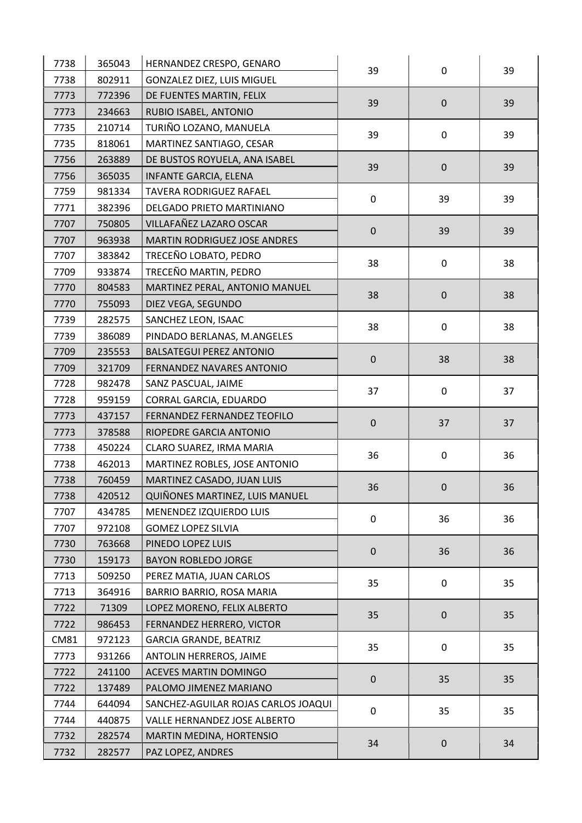| 7738        | 365043 | HERNANDEZ CRESPO, GENARO            | 39          | $\mathbf 0$ | 39 |
|-------------|--------|-------------------------------------|-------------|-------------|----|
| 7738        | 802911 | GONZALEZ DIEZ, LUIS MIGUEL          |             |             |    |
| 7773        | 772396 | DE FUENTES MARTIN, FELIX            | 39          | $\mathbf 0$ | 39 |
| 7773        | 234663 | RUBIO ISABEL, ANTONIO               |             |             |    |
| 7735        | 210714 | TURIÑO LOZANO, MANUELA              |             | 0           | 39 |
| 7735        | 818061 | MARTINEZ SANTIAGO, CESAR            | 39          |             |    |
| 7756        | 263889 | DE BUSTOS ROYUELA, ANA ISABEL       |             | $\mathbf 0$ | 39 |
| 7756        | 365035 | <b>INFANTE GARCIA, ELENA</b>        | 39          |             |    |
| 7759        | 981334 | TAVERA RODRIGUEZ RAFAEL             | 0           | 39          | 39 |
| 7771        | 382396 | DELGADO PRIETO MARTINIANO           |             |             |    |
| 7707        | 750805 | VILLAFAÑEZ LAZARO OSCAR             | $\pmb{0}$   |             |    |
| 7707        | 963938 | MARTIN RODRIGUEZ JOSE ANDRES        |             | 39          | 39 |
| 7707        | 383842 | TRECEÑO LOBATO, PEDRO               | 38          |             | 38 |
| 7709        | 933874 | TRECEÑO MARTIN, PEDRO               |             | $\mathbf 0$ |    |
| 7770        | 804583 | MARTINEZ PERAL, ANTONIO MANUEL      | 38          | $\mathbf 0$ |    |
| 7770        | 755093 | DIEZ VEGA, SEGUNDO                  |             |             | 38 |
| 7739        | 282575 | SANCHEZ LEON, ISAAC                 | 38          |             | 38 |
| 7739        | 386089 | PINDADO BERLANAS, M.ANGELES         |             | 0           |    |
| 7709        | 235553 | <b>BALSATEGUI PEREZ ANTONIO</b>     | $\pmb{0}$   | 38          | 38 |
| 7709        | 321709 | FERNANDEZ NAVARES ANTONIO           |             |             |    |
| 7728        | 982478 | SANZ PASCUAL, JAIME                 | 37          | $\mathbf 0$ | 37 |
| 7728        | 959159 | CORRAL GARCIA, EDUARDO              |             |             |    |
| 7773        | 437157 | FERNANDEZ FERNANDEZ TEOFILO         | 0           | 37          | 37 |
| 7773        | 378588 | RIOPEDRE GARCIA ANTONIO             |             |             |    |
| 7738        | 450224 | CLARO SUAREZ, IRMA MARIA            | 36          | $\mathbf 0$ | 36 |
| 7738        | 462013 | MARTINEZ ROBLES, JOSE ANTONIO       |             |             |    |
| 7738        | 760459 | <b>MARTINEZ CASADO, JUAN LUIS</b>   | 36          | $\mathbf 0$ | 36 |
| 7738        | 420512 | QUIÑONES MARTINEZ, LUIS MANUEL      |             |             |    |
| 7707        | 434785 | MENENDEZ IZQUIERDO LUIS             | $\mathbf 0$ | 36          | 36 |
| 7707        | 972108 | <b>GOMEZ LOPEZ SILVIA</b>           |             |             |    |
| 7730        | 763668 | PINEDO LOPEZ LUIS                   | $\mathbf 0$ | 36          | 36 |
| 7730        | 159173 | <b>BAYON ROBLEDO JORGE</b>          |             |             |    |
| 7713        | 509250 | PEREZ MATIA, JUAN CARLOS            | 35          | $\mathbf 0$ | 35 |
| 7713        | 364916 | BARRIO BARRIO, ROSA MARIA           |             |             |    |
| 7722        | 71309  | LOPEZ MORENO, FELIX ALBERTO         | 35          | $\mathbf 0$ | 35 |
| 7722        | 986453 | FERNANDEZ HERRERO, VICTOR           |             |             |    |
| <b>CM81</b> | 972123 | <b>GARCIA GRANDE, BEATRIZ</b>       | 35          | $\mathbf 0$ | 35 |
| 7773        | 931266 | ANTOLIN HERREROS, JAIME             |             |             |    |
| 7722        | 241100 | <b>ACEVES MARTIN DOMINGO</b>        | $\mathbf 0$ | 35          | 35 |
| 7722        | 137489 | PALOMO JIMENEZ MARIANO              |             |             |    |
| 7744        | 644094 | SANCHEZ-AGUILAR ROJAS CARLOS JOAQUI | $\pmb{0}$   | 35          | 35 |
| 7744        | 440875 | VALLE HERNANDEZ JOSE ALBERTO        |             |             |    |
| 7732        | 282574 | MARTIN MEDINA, HORTENSIO            | 34          | $\mathbf 0$ | 34 |
| 7732        | 282577 | PAZ LOPEZ, ANDRES                   |             |             |    |